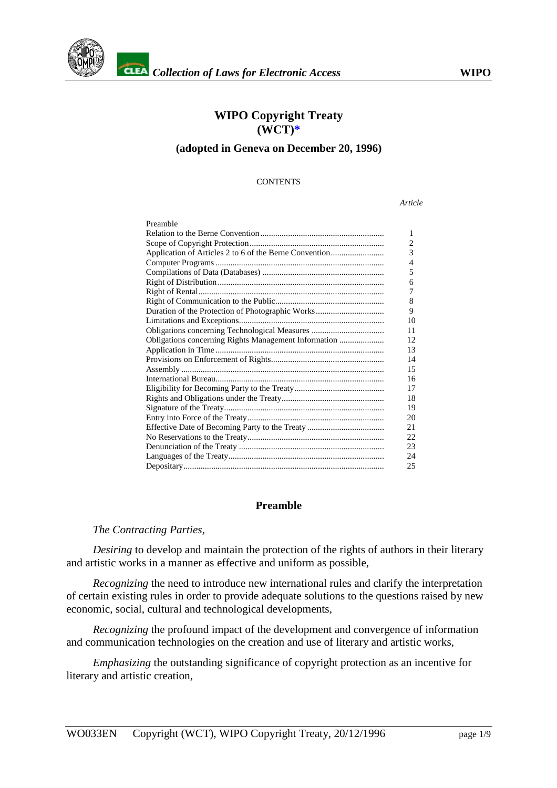

# **WIPO Copyright Treaty (WCT[\)\\*](#page-8-0)**

### **(adopted in Geneva on December 20, 1996)**

#### **CONTENTS**

#### *Article*

| Preamble                                               |                |
|--------------------------------------------------------|----------------|
|                                                        | 1              |
|                                                        | $\overline{2}$ |
| Application of Articles 2 to 6 of the Berne Convention | 3              |
|                                                        | 4              |
|                                                        | 5              |
|                                                        | 6              |
|                                                        | 7              |
|                                                        | 8              |
|                                                        | 9              |
|                                                        | 10             |
| Obligations concerning Technological Measures          | 11             |
| Obligations concerning Rights Management Information   | 12             |
|                                                        | 13             |
|                                                        | 14             |
|                                                        | 15             |
|                                                        | 16             |
|                                                        | 17             |
|                                                        | 18             |
|                                                        | 19             |
|                                                        | 20             |
|                                                        | 21             |
|                                                        | 22             |
|                                                        | 23             |
|                                                        | 24             |
|                                                        | 25             |
|                                                        |                |

# **Preamble**

#### *The Contracting Parties,*

*Desiring* to develop and maintain the protection of the rights of authors in their literary and artistic works in a manner as effective and uniform as possible,

*Recognizing* the need to introduce new international rules and clarify the interpretation of certain existing rules in order to provide adequate solutions to the questions raised by new economic, social, cultural and technological developments,

*Recognizing* the profound impact of the development and convergence of information and communication technologies on the creation and use of literary and artistic works,

*Emphasizing* the outstanding significance of copyright protection as an incentive for literary and artistic creation,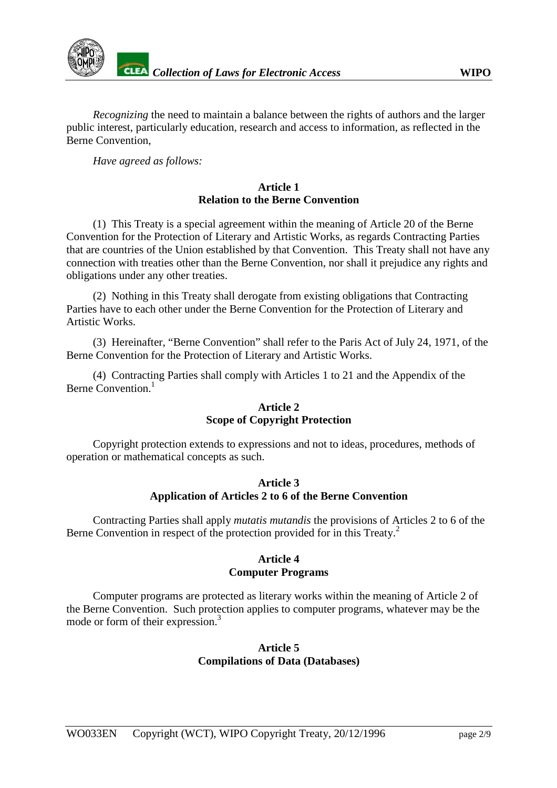

*Recognizing* the need to maintain a balance between the rights of authors and the larger public interest, particularly education, research and access to information, as reflected in the Berne Convention,

*Have agreed as follows:*

### **Article 1 Relation to the Berne Convention**

(1) This Treaty is a special agreement within the meaning of Article 20 of the Berne Convention for the Protection of Literary and Artistic Works, as regards Contracting Parties that are countries of the Union established by that Convention. This Treaty shall not have any connection with treaties other than the Berne Convention, nor shall it prejudice any rights and obligations under any other treaties.

(2) Nothing in this Treaty shall derogate from existing obligations that Contracting Parties have to each other under the Berne Convention for the Protection of Literary and Artistic Works.

(3) Hereinafter, "Berne Convention" shall refer to the Paris Act of July 24, 1971, of the Berne Convention for the Protection of Literary and Artistic Works.

(4) Contracting Parties shall comply with Articles 1 to 21 and the Appendix of the Berne Convention.<sup>[1](#page-8-0)</sup>

# **Article 2 Scope of Copyright Protection**

Copyright protection extends to expressions and not to ideas, procedures, methods of operation or mathematical concepts as such.

### **Article 3 Application of Articles 2 to 6 of the Berne Convention**

Contracting Parties shall apply *mutatis mutandis* the provisions of Articles 2 to 6 of the Berne Convention in respect of the protection provided for in this Treaty.[2](#page-8-0)

# **Article 4 Computer Programs**

Computer programs are protected as literary works within the meaning of Article 2 of the Berne Convention. Such protection applies to computer programs, whatever may be the mode or form of their expression.<sup>[3](#page-8-0)</sup>

### **Article 5 Compilations of Data (Databases)**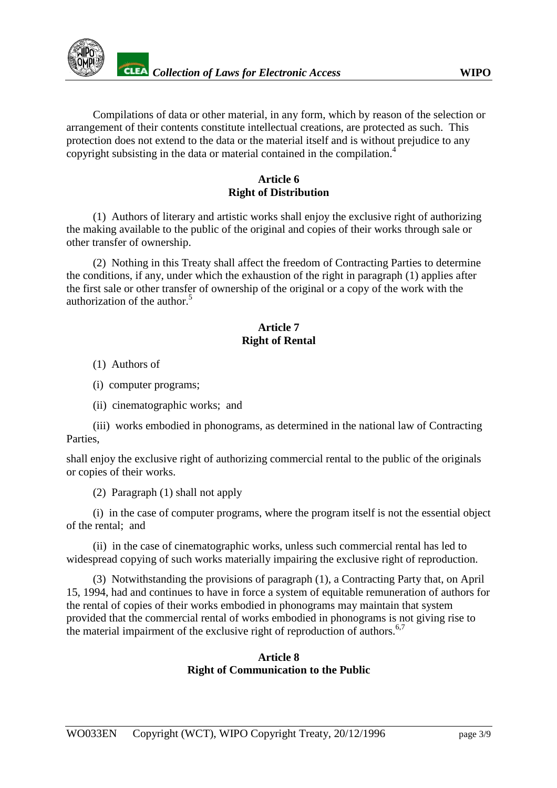

Compilations of data or other material, in any form, which by reason of the selection or arrangement of their contents constitute intellectual creations, are protected as such. This protection does not extend to the data or the material itself and is without prejudice to any copyright subsisting in the data or material contained in the compilation.<sup>4</sup>

### **Article 6 Right of Distribution**

(1) Authors of literary and artistic works shall enjoy the exclusive right of authorizing the making available to the public of the original and copies of their works through sale or other transfer of ownership.

(2) Nothing in this Treaty shall affect the freedom of Contracting Parties to determine the conditions, if any, under which the exhaustion of the right in paragraph (1) applies after the first sale or other transfer of ownership of the original or a copy of the work with the authorization of the author.<sup>[5](#page-8-0)</sup>

# **Article 7 Right of Rental**

- (1) Authors of
- (i) computer programs;
- (ii) cinematographic works; and

(iii) works embodied in phonograms, as determined in the national law of Contracting Parties,

shall enjoy the exclusive right of authorizing commercial rental to the public of the originals or copies of their works.

(2) Paragraph (1) shall not apply

(i) in the case of computer programs, where the program itself is not the essential object of the rental; and

(ii) in the case of cinematographic works, unless such commercial rental has led to widespread copying of such works materially impairing the exclusive right of reproduction.

(3) Notwithstanding the provisions of paragraph (1), a Contracting Party that, on April 15, 1994, had and continues to have in force a system of equitable remuneration of authors for the rental of copies of their works embodied in phonograms may maintain that system provided that the commercial rental of works embodied in phonograms is not giving rise to the material impairment of the exclusive right of reproduction of authors.<sup>[6,7](#page-8-0)</sup>

### **Article 8 Right of Communication to the Public**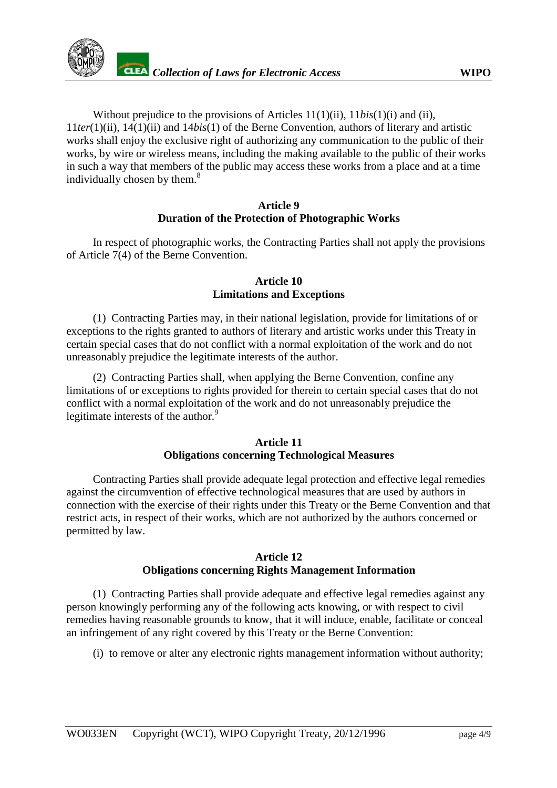

Without prejudice to the provisions of Articles 11(1)(ii), 11*bis*(1)(i) and (ii), 11*ter*(1)(ii), 14(1)(ii) and 14*bis*(1) of the Berne Convention, authors of literary and artistic works shall enjoy the exclusive right of authorizing any communication to the public of their works, by wire or wireless means, including the making available to the public of their works in such a way that members of the public may access these works from a place and at a time individually chosen by them.<sup>[8](#page-8-0)</sup>

### **Article 9 Duration of the Protection of Photographic Works**

In respect of photographic works, the Contracting Parties shall not apply the provisions of Article 7(4) of the Berne Convention.

# **Article 10 Limitations and Exceptions**

(1) Contracting Parties may, in their national legislation, provide for limitations of or exceptions to the rights granted to authors of literary and artistic works under this Treaty in certain special cases that do not conflict with a normal exploitation of the work and do not unreasonably prejudice the legitimate interests of the author.

(2) Contracting Parties shall, when applying the Berne Convention, confine any limitations of or exceptions to rights provided for therein to certain special cases that do not conflict with a normal exploitation of the work and do not unreasonably prejudice the legitimate interests of the author.<sup>9</sup>

# **Article 11 Obligations concerning Technological Measures**

Contracting Parties shall provide adequate legal protection and effective legal remedies against the circumvention of effective technological measures that are used by authors in connection with the exercise of their rights under this Treaty or the Berne Convention and that restrict acts, in respect of their works, which are not authorized by the authors concerned or permitted by law.

# **Article 12 Obligations concerning Rights Management Information**

(1) Contracting Parties shall provide adequate and effective legal remedies against any person knowingly performing any of the following acts knowing, or with respect to civil remedies having reasonable grounds to know, that it will induce, enable, facilitate or conceal an infringement of any right covered by this Treaty or the Berne Convention:

(i) to remove or alter any electronic rights management information without authority;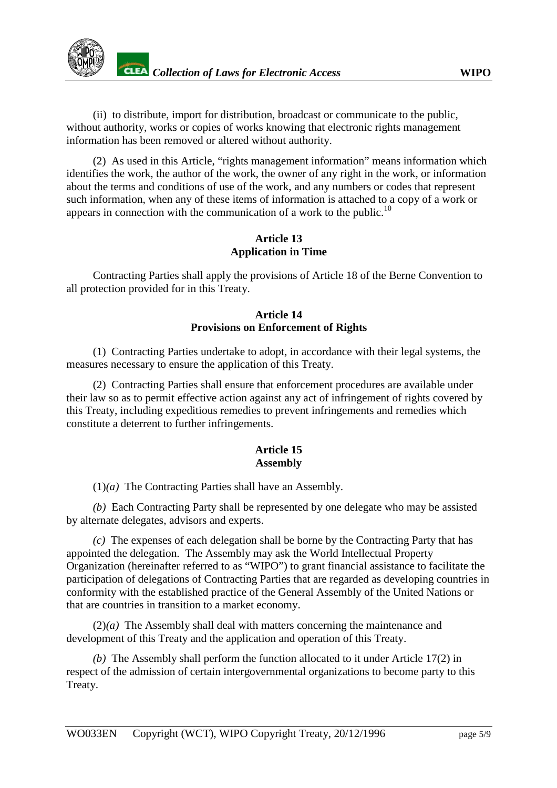(ii) to distribute, import for distribution, broadcast or communicate to the public, without authority, works or copies of works knowing that electronic rights management information has been removed or altered without authority.

(2) As used in this Article, "rights management information" means information which identifies the work, the author of the work, the owner of any right in the work, or information about the terms and conditions of use of the work, and any numbers or codes that represent such information, when any of these items of information is attached to a copy of a work or appears in connection with the communication of a work to the public. $^{10}$  $^{10}$  $^{10}$ 

# **Article 13 Application in Time**

Contracting Parties shall apply the provisions of Article 18 of the Berne Convention to all protection provided for in this Treaty.

# **Article 14 Provisions on Enforcement of Rights**

(1) Contracting Parties undertake to adopt, in accordance with their legal systems, the measures necessary to ensure the application of this Treaty.

(2) Contracting Parties shall ensure that enforcement procedures are available under their law so as to permit effective action against any act of infringement of rights covered by this Treaty, including expeditious remedies to prevent infringements and remedies which constitute a deterrent to further infringements.

# **Article 15 Assembly**

(1)*(a)* The Contracting Parties shall have an Assembly.

*(b)* Each Contracting Party shall be represented by one delegate who may be assisted by alternate delegates, advisors and experts.

*(c)* The expenses of each delegation shall be borne by the Contracting Party that has appointed the delegation. The Assembly may ask the World Intellectual Property Organization (hereinafter referred to as "WIPO") to grant financial assistance to facilitate the participation of delegations of Contracting Parties that are regarded as developing countries in conformity with the established practice of the General Assembly of the United Nations or that are countries in transition to a market economy.

(2)*(a)* The Assembly shall deal with matters concerning the maintenance and development of this Treaty and the application and operation of this Treaty.

*(b)* The Assembly shall perform the function allocated to it under Article 17(2) in respect of the admission of certain intergovernmental organizations to become party to this Treaty.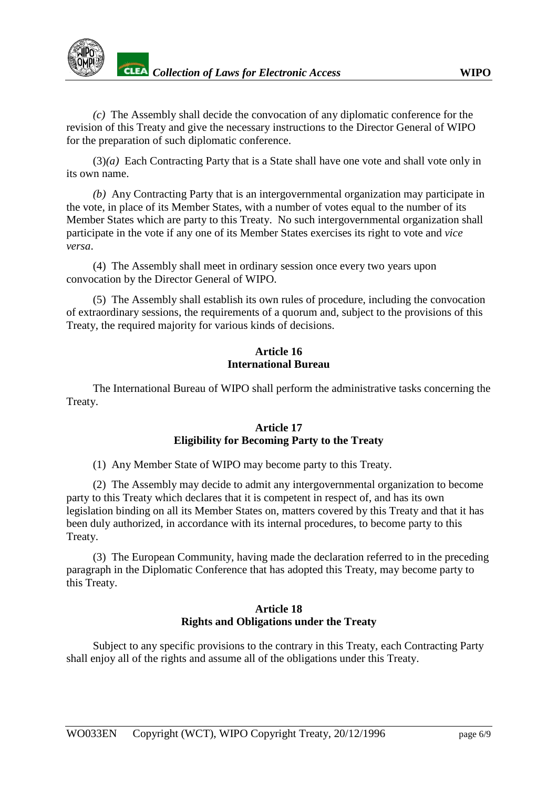

*(c)* The Assembly shall decide the convocation of any diplomatic conference for the revision of this Treaty and give the necessary instructions to the Director General of WIPO for the preparation of such diplomatic conference.

(3)*(a)* Each Contracting Party that is a State shall have one vote and shall vote only in its own name.

*(b)* Any Contracting Party that is an intergovernmental organization may participate in the vote, in place of its Member States, with a number of votes equal to the number of its Member States which are party to this Treaty. No such intergovernmental organization shall participate in the vote if any one of its Member States exercises its right to vote and *vice versa*.

(4) The Assembly shall meet in ordinary session once every two years upon convocation by the Director General of WIPO.

(5) The Assembly shall establish its own rules of procedure, including the convocation of extraordinary sessions, the requirements of a quorum and, subject to the provisions of this Treaty, the required majority for various kinds of decisions.

### **Article 16 International Bureau**

The International Bureau of WIPO shall perform the administrative tasks concerning the Treaty.

# **Article 17 Eligibility for Becoming Party to the Treaty**

(1) Any Member State of WIPO may become party to this Treaty.

(2) The Assembly may decide to admit any intergovernmental organization to become party to this Treaty which declares that it is competent in respect of, and has its own legislation binding on all its Member States on, matters covered by this Treaty and that it has been duly authorized, in accordance with its internal procedures, to become party to this Treaty.

(3) The European Community, having made the declaration referred to in the preceding paragraph in the Diplomatic Conference that has adopted this Treaty, may become party to this Treaty.

# **Article 18 Rights and Obligations under the Treaty**

Subject to any specific provisions to the contrary in this Treaty, each Contracting Party shall enjoy all of the rights and assume all of the obligations under this Treaty.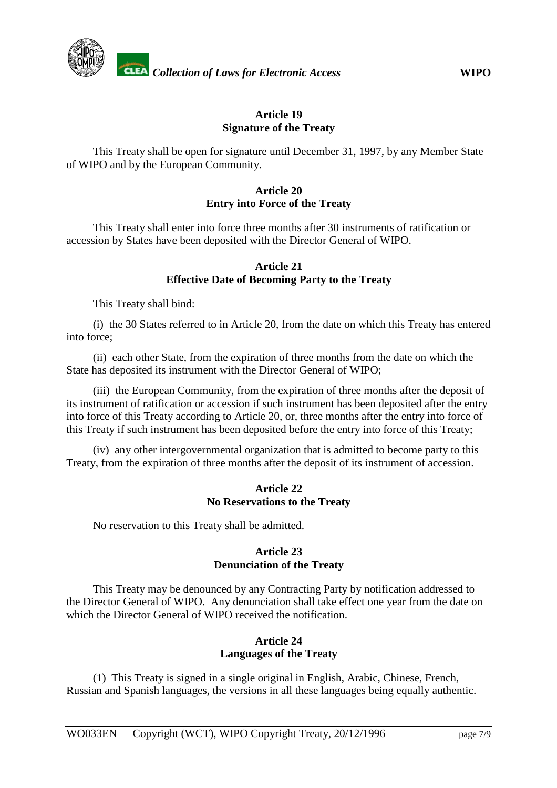

### **Article 19 Signature of the Treaty**

This Treaty shall be open for signature until December 31, 1997, by any Member State of WIPO and by the European Community.

# **Article 20 Entry into Force of the Treaty**

This Treaty shall enter into force three months after 30 instruments of ratification or accession by States have been deposited with the Director General of WIPO.

#### **Article 21 Effective Date of Becoming Party to the Treaty**

This Treaty shall bind:

(i) the 30 States referred to in Article 20, from the date on which this Treaty has entered into force;

(ii) each other State, from the expiration of three months from the date on which the State has deposited its instrument with the Director General of WIPO;

(iii) the European Community, from the expiration of three months after the deposit of its instrument of ratification or accession if such instrument has been deposited after the entry into force of this Treaty according to Article 20, or, three months after the entry into force of this Treaty if such instrument has been deposited before the entry into force of this Treaty;

(iv) any other intergovernmental organization that is admitted to become party to this Treaty, from the expiration of three months after the deposit of its instrument of accession.

#### **Article 22 No Reservations to the Treaty**

No reservation to this Treaty shall be admitted.

#### **Article 23 Denunciation of the Treaty**

This Treaty may be denounced by any Contracting Party by notification addressed to the Director General of WIPO. Any denunciation shall take effect one year from the date on which the Director General of WIPO received the notification.

# **Article 24 Languages of the Treaty**

(1) This Treaty is signed in a single original in English, Arabic, Chinese, French, Russian and Spanish languages, the versions in all these languages being equally authentic.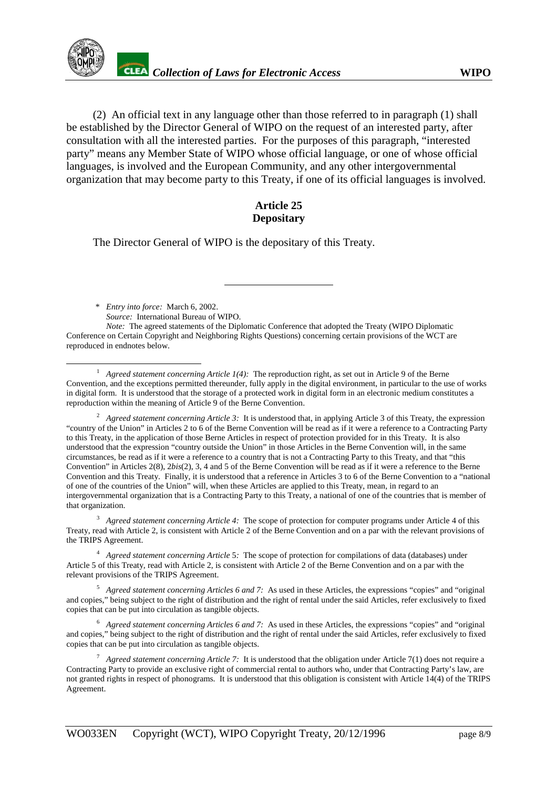

(2) An official text in any language other than those referred to in paragraph (1) shall be established by the Director General of WIPO on the request of an interested party, after consultation with all the interested parties. For the purposes of this paragraph, "interested party" means any Member State of WIPO whose official language, or one of whose official languages, is involved and the European Community, and any other intergovernmental organization that may become party to this Treaty, if one of its official languages is involved.

# **Article 25 Depositary**

The Director General of WIPO is the depositary of this Treaty.

\* *Entry into force:* March 6, 2002. *Source:* International Bureau of WIPO.

*Note:* The agreed statements of the Diplomatic Conference that adopted the Treaty (WIPO Diplomatic Conference on Certain Copyright and Neighboring Rights Questions) concerning certain provisions of the WCT are reproduced in endnotes below.

<sup>1</sup> *Agreed statement concerning Article 1(4):* The reproduction right, as set out in Article 9 of the Berne Convention, and the exceptions permitted thereunder, fully apply in the digital environment, in particular to the use of works in digital form. It is understood that the storage of a protected work in digital form in an electronic medium constitutes a reproduction within the meaning of Article 9 of the Berne Convention.

<sup>2</sup> *Agreed statement concerning Article 3:* It is understood that, in applying Article 3 of this Treaty, the expression "country of the Union" in Articles 2 to 6 of the Berne Convention will be read as if it were a reference to a Contracting Party to this Treaty, in the application of those Berne Articles in respect of protection provided for in this Treaty. It is also understood that the expression "country outside the Union" in those Articles in the Berne Convention will, in the same circumstances, be read as if it were a reference to a country that is not a Contracting Party to this Treaty, and that "this Convention" in Articles 2(8), 2*bis*(2), 3, 4 and 5 of the Berne Convention will be read as if it were a reference to the Berne Convention and this Treaty. Finally, it is understood that a reference in Articles 3 to 6 of the Berne Convention to a "national of one of the countries of the Union" will, when these Articles are applied to this Treaty, mean, in regard to an intergovernmental organization that is a Contracting Party to this Treaty, a national of one of the countries that is member of that organization.

<sup>3</sup> *Agreed statement concerning Article 4:* The scope of protection for computer programs under Article 4 of this Treaty, read with Article 2, is consistent with Article 2 of the Berne Convention and on a par with the relevant provisions of the TRIPS Agreement.

<sup>4</sup> *Agreed statement concerning Article* 5*:* The scope of protection for compilations of data (databases) under Article 5 of this Treaty, read with Article 2, is consistent with Article 2 of the Berne Convention and on a par with the relevant provisions of the TRIPS Agreement.

<sup>5</sup> *Agreed statement concerning Articles 6 and 7:* As used in these Articles, the expressions "copies" and "original and copies," being subject to the right of distribution and the right of rental under the said Articles, refer exclusively to fixed copies that can be put into circulation as tangible objects.

<sup>6</sup> *Agreed statement concerning Articles 6 and 7:* As used in these Articles, the expressions "copies" and "original and copies," being subject to the right of distribution and the right of rental under the said Articles, refer exclusively to fixed copies that can be put into circulation as tangible objects.

<sup>7</sup> *Agreed statement concerning Article 7:* It is understood that the obligation under Article 7(1) does not require a Contracting Party to provide an exclusive right of commercial rental to authors who, under that Contracting Party's law, are not granted rights in respect of phonograms. It is understood that this obligation is consistent with Article 14(4) of the TRIPS Agreement.